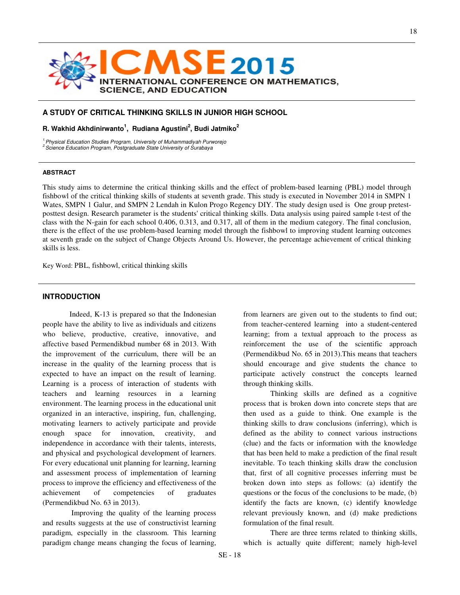

### **A STUDY OF CRITICAL THINKING SKILLS IN JUNIOR HIGH SCHOOL**

## **R. Wakhid Akhdinirwanto<sup>1</sup> , Rudiana Agustini<sup>2</sup> , Budi Jatmiko<sup>2</sup>**

<sup>1.</sup> Physical Education Studies Program, University of Muhammadiyah Purworejo <sup>2</sup> Science Education Program, Postgraduate State University of Surabaya

#### **ABSTRACT**

This study aims to determine the critical thinking skills and the effect of problem-based learning (PBL) model through fishbowl of the critical thinking skills of students at seventh grade. This study is executed in November 2014 in SMPN 1 Wates, SMPN 1 Galur, and SMPN 2 Lendah in Kulon Progo Regency DIY. The study design used is One group pretestposttest design. Research parameter is the students' critical thinking skills. Data analysis using paired sample t-test of the class with the N-gain for each school 0.406, 0.313, and 0.317, all of them in the medium category. The final conclusion, there is the effect of the use problem-based learning model through the fishbowl to improving student learning outcomes at seventh grade on the subject of Change Objects Around Us. However, the percentage achievement of critical thinking skills is less.

Key Word: PBL, fishbowl, critical thinking skills

### **INTRODUCTION**

Indeed, K-13 is prepared so that the Indonesian people have the ability to live as individuals and citizens who believe, productive, creative, innovative, and affective based Permendikbud number 68 in 2013. With the improvement of the curriculum, there will be an increase in the quality of the learning process that is expected to have an impact on the result of learning. Learning is a process of interaction of students with teachers and learning resources in a learning environment. The learning process in the educational unit organized in an interactive, inspiring, fun, challenging, motivating learners to actively participate and provide enough space for innovation, creativity, and independence in accordance with their talents, interests, and physical and psychological development of learners. For every educational unit planning for learning, learning and assessment process of implementation of learning process to improve the efficiency and effectiveness of the achievement of competencies of graduates (Permendikbud No. 63 in 2013).

 Improving the quality of the learning process and results suggests at the use of constructivist learning paradigm, especially in the classroom. This learning paradigm change means changing the focus of learning,

from learners are given out to the students to find out; from teacher-centered learning into a student-centered learning; from a textual approach to the process as reinforcement the use of the scientific approach (Permendikbud No. 65 in 2013).This means that teachers should encourage and give students the chance to participate actively construct the concepts learned through thinking skills.

Thinking skills are defined as a cognitive process that is broken down into concrete steps that are then used as a guide to think. One example is the thinking skills to draw conclusions (inferring), which is defined as the ability to connect various instructions (clue) and the facts or information with the knowledge that has been held to make a prediction of the final result inevitable. To teach thinking skills draw the conclusion that, first of all cognitive processes inferring must be broken down into steps as follows: (a) identify the questions or the focus of the conclusions to be made, (b) identify the facts are known, (c) identify knowledge relevant previously known, and (d) make predictions formulation of the final result.

There are three terms related to thinking skills, which is actually quite different; namely high-level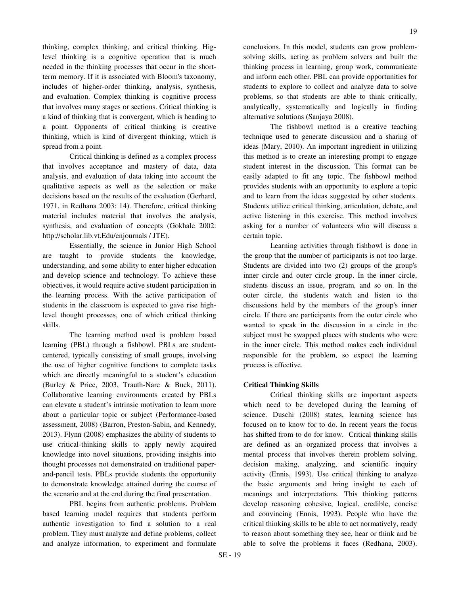thinking, complex thinking, and critical thinking. Higlevel thinking is a cognitive operation that is much needed in the thinking processes that occur in the shortterm memory. If it is associated with Bloom's taxonomy, includes of higher-order thinking, analysis, synthesis, and evaluation. Complex thinking is cognitive process that involves many stages or sections. Critical thinking is a kind of thinking that is convergent, which is heading to a point. Opponents of critical thinking is creative thinking, which is kind of divergent thinking, which is spread from a point.

Critical thinking is defined as a complex process that involves acceptance and mastery of data, data analysis, and evaluation of data taking into account the qualitative aspects as well as the selection or make decisions based on the results of the evaluation (Gerhard, 1971, in Redhana 2003: 14). Therefore, critical thinking material includes material that involves the analysis, synthesis, and evaluation of concepts (Gokhale 2002: http://scholar.lib.vt.Edu/enjournals / JTE).

Essentially, the science in Junior High School are taught to provide students the knowledge, understanding, and some ability to enter higher education and develop science and technology. To achieve these objectives, it would require active student participation in the learning process. With the active participation of students in the classroom is expected to gave rise highlevel thought processes, one of which critical thinking skills.

The learning method used is problem based learning (PBL) through a fishbowl. PBLs are studentcentered, typically consisting of small groups, involving the use of higher cognitive functions to complete tasks which are directly meaningful to a student's education (Burley & Price, 2003, Trauth-Nare & Buck, 2011). Collaborative learning environments created by PBLs can elevate a student's intrinsic motivation to learn more about a particular topic or subject (Performance-based assessment, 2008) (Barron, Preston-Sabin, and Kennedy, 2013). Flynn (2008) emphasizes the ability of students to use critical-thinking skills to apply newly acquired knowledge into novel situations, providing insights into thought processes not demonstrated on traditional paperand-pencil tests. PBLs provide students the opportunity to demonstrate knowledge attained during the course of the scenario and at the end during the final presentation.

PBL begins from authentic problems. Problem based learning model requires that students perform authentic investigation to find a solution to a real problem. They must analyze and define problems, collect and analyze information, to experiment and formulate

conclusions. In this model, students can grow problemsolving skills, acting as problem solvers and built the thinking process in learning, group work, communicate and inform each other. PBL can provide opportunities for students to explore to collect and analyze data to solve problems, so that students are able to think critically, analytically, systematically and logically in finding alternative solutions (Sanjaya 2008).

The fishbowl method is a creative teaching technique used to generate discussion and a sharing of ideas (Mary, 2010). An important ingredient in utilizing this method is to create an interesting prompt to engage student interest in the discussion. This format can be easily adapted to fit any topic. The fishbowl method provides students with an opportunity to explore a topic and to learn from the ideas suggested by other students. Students utilize critical thinking, articulation, debate, and active listening in this exercise. This method involves asking for a number of volunteers who will discuss a certain topic.

Learning activities through fishbowl is done in the group that the number of participants is not too large. Students are divided into two (2) groups of the group's inner circle and outer circle group. In the inner circle, students discuss an issue, program, and so on. In the outer circle, the students watch and listen to the discussions held by the members of the group's inner circle. If there are participants from the outer circle who wanted to speak in the discussion in a circle in the subject must be swapped places with students who were in the inner circle. This method makes each individual responsible for the problem, so expect the learning process is effective.

# **Critical Thinking Skills**

 Critical thinking skills are important aspects which need to be developed during the learning of science. Duschi (2008) states, learning science has focused on to know for to do. In recent years the focus has shifted from to do for know. Critical thinking skills are defined as an organized process that involves a mental process that involves therein problem solving, decision making, analyzing, and scientific inquiry activity (Ennis, 1993). Use critical thinking to analyze the basic arguments and bring insight to each of meanings and interpretations. This thinking patterns develop reasoning cohesive, logical, credible, concise and convincing (Ennis, 1993). People who have the critical thinking skills to be able to act normatively, ready to reason about something they see, hear or think and be able to solve the problems it faces (Redhana, 2003).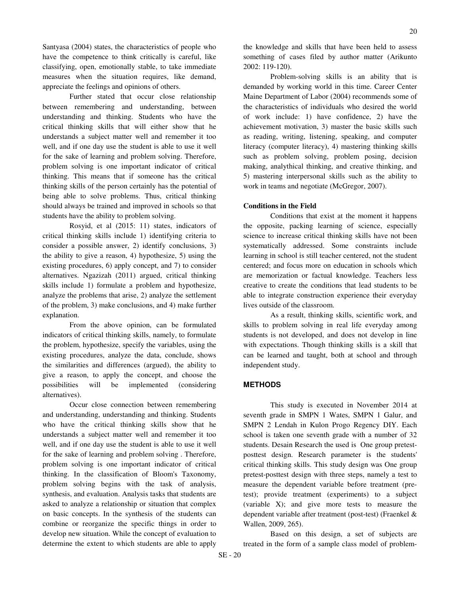Santyasa (2004) states, the characteristics of people who have the competence to think critically is careful, like classifying, open, emotionally stable, to take immediate measures when the situation requires, like demand, appreciate the feelings and opinions of others.

 Further stated that occur close relationship between remembering and understanding, between understanding and thinking. Students who have the critical thinking skills that will either show that he understands a subject matter well and remember it too well, and if one day use the student is able to use it well for the sake of learning and problem solving. Therefore, problem solving is one important indicator of critical thinking. This means that if someone has the critical thinking skills of the person certainly has the potential of being able to solve problems. Thus, critical thinking should always be trained and improved in schools so that students have the ability to problem solving.

 Rosyid, et al (2015: 11) states, indicators of critical thinking skills include 1) identifying criteria to consider a possible answer, 2) identify conclusions, 3) the ability to give a reason, 4) hypothesize, 5) using the existing procedures, 6) apply concept, and 7) to consider alternatives. Ngazizah (2011) argued, critical thinking skills include 1) formulate a problem and hypothesize, analyze the problems that arise, 2) analyze the settlement of the problem, 3) make conclusions, and 4) make further explanation.

 From the above opinion, can be formulated indicators of critical thinking skills, namely, to formulate the problem, hypothesize, specify the variables, using the existing procedures, analyze the data, conclude, shows the similarities and differences (argued), the ability to give a reason, to apply the concept, and choose the possibilities will be implemented (considering alternatives).

 Occur close connection between remembering and understanding, understanding and thinking. Students who have the critical thinking skills show that he understands a subject matter well and remember it too well, and if one day use the student is able to use it well for the sake of learning and problem solving . Therefore, problem solving is one important indicator of critical thinking. In the classification of Bloom's Taxonomy, problem solving begins with the task of analysis, synthesis, and evaluation. Analysis tasks that students are asked to analyze a relationship or situation that complex on basic concepts. In the synthesis of the students can combine or reorganize the specific things in order to develop new situation. While the concept of evaluation to determine the extent to which students are able to apply

the knowledge and skills that have been held to assess something of cases filed by author matter (Arikunto 2002: 119-120).

Problem-solving skills is an ability that is demanded by working world in this time. Career Center Maine Department of Labor (2004) recommends some of the characteristics of individuals who desired the world of work include: 1) have confidence, 2) have the achievement motivation, 3) master the basic skills such as reading, writing, listening, speaking, and computer literacy (computer literacy), 4) mastering thinking skills such as problem solving, problem posing, decision making, analythical thinking, and creative thinking, and 5) mastering interpersonal skills such as the ability to work in teams and negotiate (McGregor, 2007).

### **Conditions in the Field**

Conditions that exist at the moment it happens the opposite, packing learning of science, especially science to increase critical thinking skills have not been systematically addressed. Some constraints include learning in school is still teacher centered, not the student centered; and focus more on education in schools which are memorization or factual knowledge. Teachers less creative to create the conditions that lead students to be able to integrate construction experience their everyday lives outside of the classroom.

As a result, thinking skills, scientific work, and skills to problem solving in real life everyday among students is not developed, and does not develop in line with expectations. Though thinking skills is a skill that can be learned and taught, both at school and through independent study.

#### **METHODS**

This study is executed in November 2014 at seventh grade in SMPN 1 Wates, SMPN 1 Galur, and SMPN 2 Lendah in Kulon Progo Regency DIY. Each school is taken one seventh grade with a number of 32 students. Desain Research the used is One group pretestposttest design. Research parameter is the students' critical thinking skills. This study design was One group pretest-posttest design with three steps, namely a test to measure the dependent variable before treatment (pretest); provide treatment (experiments) to a subject (variable X); and give more tests to measure the dependent variable after treatment (post-test) (Fraenkel & Wallen, 2009, 265).

Based on this design, a set of subjects are treated in the form of a sample class model of problem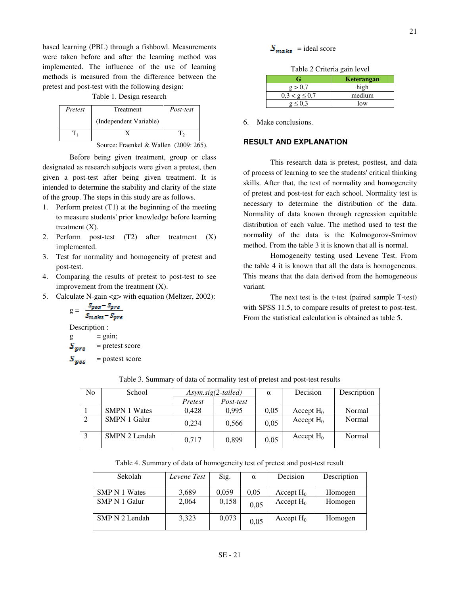based learning (PBL) through a fishbowl. Measurements were taken before and after the learning method was implemented. The influence of the use of learning methods is measured from the difference between the pretest and post-test with the following design:

#### Table 1. Design research

| Pretest | Treatment                                | Post-test |
|---------|------------------------------------------|-----------|
|         | (Independent Variable)                   |           |
|         |                                          |           |
|         | Source: Fraenkel & Wallen $(2009:265)$ . |           |

Before being given treatment, group or class designated as research subjects were given a pretest, then given a post-test after being given treatment. It is intended to determine the stability and clarity of the state of the group. The steps in this study are as follows.

- 1. Perform pretest (T1) at the beginning of the meeting to measure students' prior knowledge before learning treatment  $(X)$ .
- 2. Perform post-test (T2) after treatment (X) implemented.
- 3. Test for normality and homogeneity of pretest and post-test.
- 4. Comparing the results of pretest to post-test to see improvement from the treatment  $(X)$ .
- 5. Calculate N-gain <g> with equation (Meltzer, 2002):

$$
g = \frac{s_{pos} - s_{pre}}{s_{make} - s_{pre}}
$$

Description :

 $g = gain;$  $S_{\text{avg}}$  = pretest score

 $S_{\omega_{\alpha}s}$  = postest score

 $S_{mnks}$  = ideal score

Table 2 Criteria gain level

|                    | <b>Keterangan</b> |
|--------------------|-------------------|
| g > 0.7            | high              |
| $0.3 < g \leq 0.7$ | medium            |
|                    | low               |

6. Make conclusions.

## **RESULT AND EXPLANATION**

This research data is pretest, posttest, and data of process of learning to see the students' critical thinking skills. After that, the test of normality and homogeneity of pretest and post-test for each school. Normality test is necessary to determine the distribution of the data. Normality of data known through regression equitable distribution of each value. The method used to test the normality of the data is the Kolmogorov-Smirnov method. From the table 3 it is known that all is normal.

Homogeneity testing used Levene Test. From the table 4 it is known that all the data is homogeneous. This means that the data derived from the homogeneous variant.

The next test is the t-test (paired sample T-test) with SPSS 11.5, to compare results of pretest to post-test. From the statistical calculation is obtained as table 5.

| N <sub>o</sub> | School              | $Asym.size(2-tailed)$ |           | $\alpha$ | Decision     | Description |
|----------------|---------------------|-----------------------|-----------|----------|--------------|-------------|
|                |                     | Pretest               | Post-test |          |              |             |
|                | <b>SMPN 1 Wates</b> | 0.428                 | 0.995     | 0.05     | Accept $H_0$ | Normal      |
|                | <b>SMPN 1 Galur</b> | 0.234                 | 0.566     | 0,05     | Accept $H_0$ | Normal      |
|                | SMPN 2 Lendah       | 0.717                 | 0,899     | 0,05     | Accept $H_0$ | Normal      |

Table 3. Summary of data of normality test of pretest and post-test results

Table 4. Summary of data of homogeneity test of pretest and post-test result

| Sekolah              | Levene Test | Sig.  | $\alpha$ | Decision     | Description |
|----------------------|-------------|-------|----------|--------------|-------------|
|                      |             |       |          |              |             |
| <b>SMP N 1 Wates</b> | 3,689       | 0.059 | 0.05     | Accept $H_0$ | Homogen     |
| SMP N 1 Galur        | 2,064       | 0,158 | 0.05     | Accept $H_0$ | Homogen     |
| SMP N 2 Lendah       | 3,323       | 0,073 | 0.05     | Accept $H_0$ | Homogen     |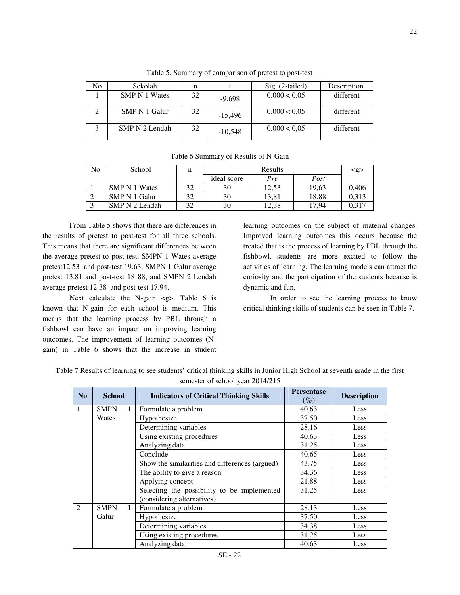| No | Sekolah              | n  |           | $Sig. (2-tailed)$ | Description. |
|----|----------------------|----|-----------|-------------------|--------------|
|    | <b>SMP N 1 Wates</b> | 32 | $-9.698$  | 0.000 < 0.05      | different    |
|    | SMP N 1 Galur        | 32 | $-15,496$ | 0.000 < 0.05      | different    |
|    | SMP N 2 Lendah       | 32 | $-10.548$ | 0.000 < 0.05      | different    |

Table 5. Summary of comparison of pretest to post-test

|  |  |  |  | Table 6 Summary of Results of N-Gain |
|--|--|--|--|--------------------------------------|
|--|--|--|--|--------------------------------------|

| No | School         | n  | Results     |       |       | $\langle$ g> |
|----|----------------|----|-------------|-------|-------|--------------|
|    |                |    | ideal score | Pre   | Post  |              |
|    | SMP N 1 Wates  |    | 30          | 12.53 | 19.63 | 0.406        |
|    | SMP N 1 Galur  |    | 30          | 13.81 | 18.88 | 0.313        |
|    | SMP N 2 Lendah | 20 | 30          | 12,38 | 17.94 | 0.317        |

From Table 5 shows that there are differences in the results of pretest to post-test for all three schools. This means that there are significant differences between the average pretest to post-test, SMPN 1 Wates average pretest12.53 and post-test 19.63, SMPN 1 Galur average pretest 13.81 and post-test 18 88, and SMPN 2 Lendah average pretest 12.38 and post-test 17.94.

Next calculate the N-gain <g>. Table 6 is known that N-gain for each school is medium. This means that the learning process by PBL through a fishbowl can have an impact on improving learning outcomes. The improvement of learning outcomes (Ngain) in Table 6 shows that the increase in student learning outcomes on the subject of material changes. Improved learning outcomes this occurs because the treated that is the process of learning by PBL through the fishbowl, students are more excited to follow the activities of learning. The learning models can attract the curiosity and the participation of the students because is dynamic and fun.

In order to see the learning process to know critical thinking skills of students can be seen in Table 7.

| N <sub>0</sub> | <b>School</b> | <b>Indicators of Critical Thinking Skills</b>  | <b>Persentase</b><br>$(\%)$ | <b>Description</b> |
|----------------|---------------|------------------------------------------------|-----------------------------|--------------------|
| 1              | <b>SMPN</b>   | Formulate a problem                            | 40,63                       | Less               |
|                | Wates         | Hypothesize                                    | 37,50                       | Less               |
|                |               | Determining variables                          | 28,16                       | Less               |
|                |               | Using existing procedures                      | 40,63                       | Less               |
|                |               | Analyzing data                                 | 31,25                       | Less               |
|                |               | Conclude                                       | 40,65                       | Less               |
|                |               | Show the similarities and differences (argued) | 43,75                       | Less               |
|                |               | The ability to give a reason                   | 34,36                       | Less               |
|                |               | Applying concept                               | 21,88                       | Less               |
|                |               | Selecting the possibility to be implemented    | 31,25                       | Less               |
|                |               | (considering alternatives)                     |                             |                    |
| 2              | <b>SMPN</b>   | Formulate a problem                            | 28,13                       | Less               |
|                | Galur         | Hypothesize                                    | 37,50                       | Less               |
|                |               | Determining variables                          | 34,38                       | Less               |
|                |               | Using existing procedures                      | 31,25                       | Less               |
|                |               | Analyzing data                                 | 40,63                       | Less               |

Table 7 Results of learning to see students' critical thinking skills in Junior High School at seventh grade in the first semester of school year 2014/215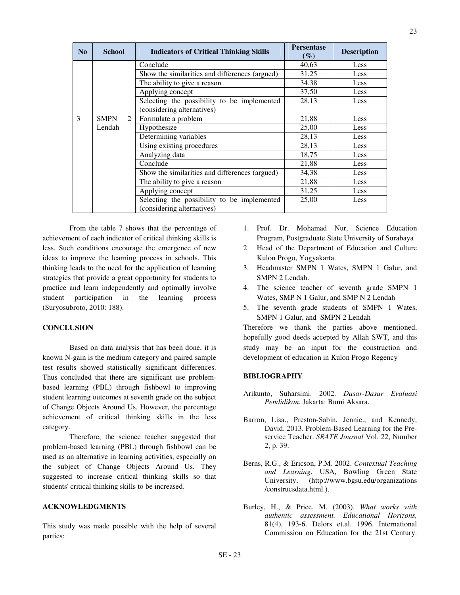| N <sub>0</sub> | <b>School</b>                 | <b>Indicators of Critical Thinking Skills</b>                             | <b>Persentase</b><br>$(\%)$ | <b>Description</b> |
|----------------|-------------------------------|---------------------------------------------------------------------------|-----------------------------|--------------------|
|                |                               | Conclude                                                                  | 40,63                       | Less               |
|                |                               | Show the similarities and differences (argued)                            | 31,25                       | Less               |
|                |                               | The ability to give a reason                                              | 34,38                       | Less               |
|                |                               | Applying concept                                                          | 37,50                       | Less               |
|                |                               | Selecting the possibility to be implemented<br>(considering alternatives) | 28,13                       | Less               |
| 3              | $\mathfrak{D}$<br><b>SMPN</b> | Formulate a problem                                                       | 21,88                       | Less               |
|                | Lendah                        | Hypothesize                                                               | 25,00                       | Less               |
|                |                               | Determining variables                                                     | 28,13                       | Less               |
|                |                               | Using existing procedures                                                 | 28,13                       | Less               |
|                |                               | Analyzing data                                                            | 18,75                       | Less               |
|                |                               | Conclude                                                                  | 21,88                       | Less               |
|                |                               | Show the similarities and differences (argued)                            | 34,38                       | Less               |
|                |                               | The ability to give a reason                                              | 21,88                       | Less               |
|                |                               | Applying concept                                                          | 31,25                       | Less               |
|                |                               | Selecting the possibility to be implemented<br>(considering alternatives) | 25,00                       | Less               |

From the table 7 shows that the percentage of achievement of each indicator of critical thinking skills is less. Such conditions encourage the emergence of new ideas to improve the learning process in schools. This thinking leads to the need for the application of learning strategies that provide a great opportunity for students to practice and learn independently and optimally involve student participation in the learning process (Suryosubroto, 2010: 188).

## **CONCLUSION**

Based on data analysis that has been done, it is known N-gain is the medium category and paired sample test results showed statistically significant differences. Thus concluded that there are significant use problembased learning (PBL) through fishbowl to improving student learning outcomes at seventh grade on the subject of Change Objects Around Us. However, the percentage achievement of critical thinking skills in the less category.

Therefore, the science teacher suggested that problem-based learning (PBL) through fishbowl can be used as an alternative in learning activities, especially on the subject of Change Objects Around Us. They suggested to increase critical thinking skills so that students' critical thinking skills to be increased.

# **ACKNOWLEDGMENTS**

This study was made possible with the help of several parties:

- 1. Prof. Dr. Mohamad Nur, Science Education Program, Postgraduate State University of Surabaya
- 2. Head of the Department of Education and Culture Kulon Progo, Yogyakarta.
- 3. Headmaster SMPN 1 Wates, SMPN 1 Galur, and SMPN 2 Lendah.
- 4. The science teacher of seventh grade SMPN 1 Wates, SMP N 1 Galur, and SMP N 2 Lendah
- 5. The seventh grade students of SMPN 1 Wates, SMPN 1 Galur, and SMPN 2 Lendah

Therefore we thank the parties above mentioned, hopefully good deeds accepted by Allah SWT, and this study may be an input for the construction and development of education in Kulon Progo Regency

# **BIBLIOGRAPHY**

- Arikunto, Suharsimi. 2002. *Dasar-Dasar Evaluasi Pendidikan*. Jakarta: Bumi Aksara.
- Barron, Lisa., Preston-Sabin, Jennie., and Kennedy, David. 2013. Problem-Based Learning for the Preservice Teacher. *SRATE Journal* Vol. 22, Number 2, p. 39.
- Berns, R.G., & Ericson, P.M. 2002. *Contextual Teaching and Learning*. USA, Bowling Green State University, (http://www.bgsu.edu/organizations /construcsdata.html.).
- Burley, H., & Price, M. (2003). *What works with authentic assessment. Educational Horizons,* 81(4), 193-6. Delors et.al. 1996. International Commission on Education for the 21st Century.